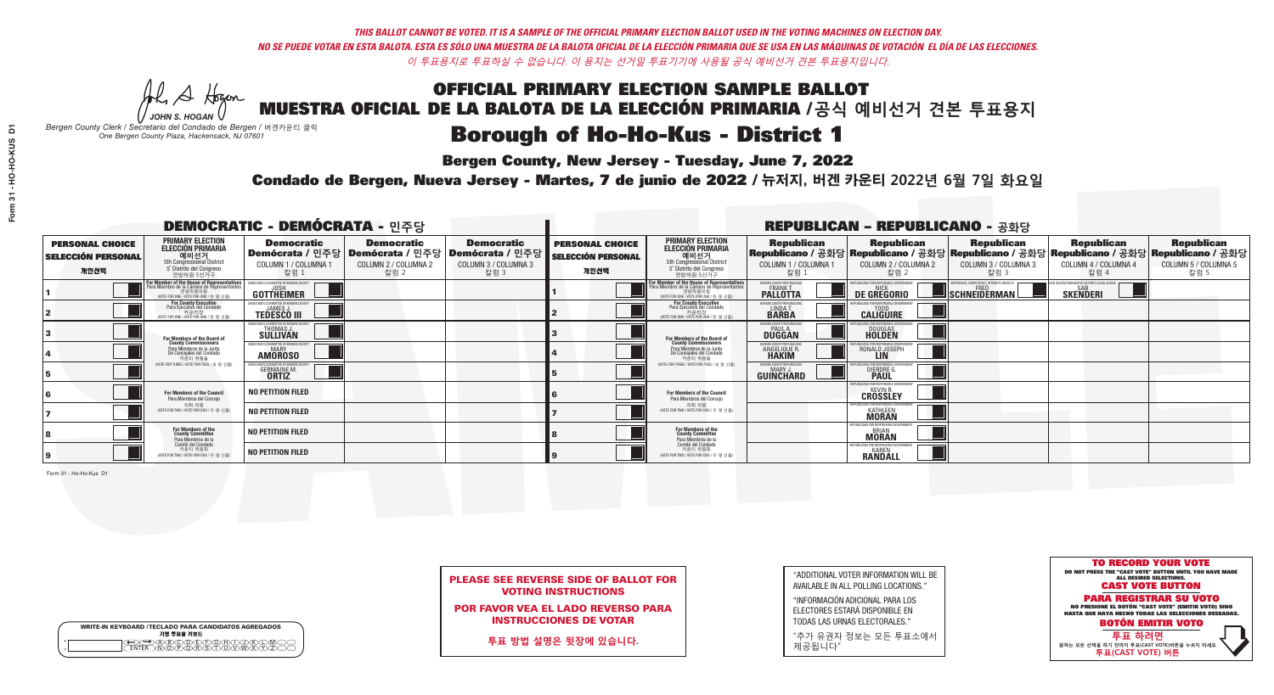A Hogen *JOHN S. HOGAN*

| <b>WRITE-IN KEYBOARD /TECLADO PARA CANDIDATOS AGREGADOS</b><br>기명 투표용 키보드 |  |
|---------------------------------------------------------------------------|--|
| ABODELEAR                                                                 |  |

# OFFICIAL PRIMARY ELECTION SAMPLE BALLOT MUESTRA OFICIAL DE LA BALOTA DE LA ELECCIÓN PRIMARIA /**공식 예비선거 견본 투표용지**

### **Borough of Ho-Ho-Kus - District 1**

**Bergen County, New Jersey - Tuesday, June 7, 2022** 

*Bergen County Clerk / Secretario del Condado de Bergen /* 버겐카운티 클럭 *One Bergen County Plaza, Hackensack, NJ 07601*

Condado de Bergen, Nueva Jersey - Martes, 7 de junio de 2022 / 뉴저지, 버겐 카운티 2022년 6월 7일 화요일 *One Bergen County Plaza, Hackensack, NJ 07601*



|                            | <b>PLEASE SEE REVERSE SIDE OF BALLOT FOR</b> |
|----------------------------|----------------------------------------------|
| <b>VOTING INSTRUCTIONS</b> |                                              |

POR FAVOR VEA EL LADO REVERSO PARA INSTRUCCIONES DE VOTAR

**투표 방법 설명은 뒷장에 있습니다.**

"ADDITIONAL VOTER INFORMATION WILL BE AVAILABLE IN ALL POLLING LOCATIONS."

"INFORMACIÓN ADICIONAL PARA LOS ELECTORES ESTARÁ DISPONIBLE EN TODAS LAS URNAS ELECTORALES."

"추가 유권자 정보는 모든 투표소에서 제공됩니다"

Form 31 - Ho-Ho-Kus D1

| <b>DEMOCRATIC - DEMÓCRATA - 민주당</b>                         |                                                                                                                                             |                                                                     |                                                   |                                                                                                        |                                                             |                                                                                                                                               |                                                               | <b>REPUBLICAN - REPUBLICANO - 공화당</b>                                                                                                          |                                                          |                                                            |                                                   |
|-------------------------------------------------------------|---------------------------------------------------------------------------------------------------------------------------------------------|---------------------------------------------------------------------|---------------------------------------------------|--------------------------------------------------------------------------------------------------------|-------------------------------------------------------------|-----------------------------------------------------------------------------------------------------------------------------------------------|---------------------------------------------------------------|------------------------------------------------------------------------------------------------------------------------------------------------|----------------------------------------------------------|------------------------------------------------------------|---------------------------------------------------|
| <b>PERSONAL CHOICE</b><br><b>SELECCIÓN PERSONAL</b><br>개인선택 | <b>PRIMARY ELECTION</b><br><b>ELECCIÓN PRIMARIA</b><br>예비선거<br>5th Congressional District<br>5° Distrito del Congreso<br>연방하원 5선거구          | <b>Democratic</b><br>COLUMN 1 / COLUMNA 1<br>칼럼 :                   | <b>Democratic</b><br>COLUMN 2 / COLUMNA 2<br>칼럼 2 | <b>Democratic</b><br>│Demócrata / 민주당│Demócrata / 민주당│Demócrata / 민주당┃<br>COLUMN 3 / COLUMNA 3<br>칼럼 3 | <b>PERSONAL CHOICE</b><br><b>SELECCIÓN PERSONAL</b><br>개인선택 | <b>PRIMARY ELECTION</b><br>ELECCIÓN PRIMARIA<br>5th Congressional District<br>5° Distrito del Congreso<br>연방하원 5선거구                           | <b>Republican</b><br>COLUMN 1 / COLUMNA 1<br>칼럼               | <b>Republican</b><br>Republicano / 공화당 Republicano / 공화당 Republicano / 공화당 Republicano / 공화당 Republicano / 공화당<br>COLUMN 2 / COLUMNA 2<br>칼럼 2 | <b>Republican</b><br>COLUMN 3 / COLUMNA 3<br>칼럼 3        | <b>Republican</b><br>COLUMN 4 / COLUMNA 4<br>칼럼 4          | <b>Republican</b><br>COLUMN 5 / COLUMNA 5<br>칼럼 5 |
|                                                             | or Member of the House of Representatives<br>ara Miembro de la Cámara de Representantes<br>연방하원의원<br>(VOTE FOR ONE / VOTE POR UNO / 한 명 선출) | GOTTHEIMER                                                          |                                                   |                                                                                                        |                                                             | For Member of the House of Representatives<br>Para Miembro de la Cámara de Representantes<br>연방하원의원<br>(WOTE FOR ONE / VOTE POR UNO / 한 명 선출) | BERGEN COUNTY REPUBLICANS<br>FRANK T.<br><b>PALLOTTA</b>      | DE GREGORIO                                                                                                                                    | PERIENCE. COMPETENCE. INTEGRITY. RESULTS<br>SCHNEIDERMAN | VACCINE MANDATES, DEPORT ILLEGAL ALIENS<br><b>SKENDERI</b> |                                                   |
|                                                             | For County Executive<br>Para Ejecutivo del Condado<br>가운티장<br>(VOTE FOR ONE / VOTE POR UNO / 한 명 선출)                                        | DEMOCRATIC COMMITTEE OF BERGEN COUNTY<br><b>TEDESCO III</b>         |                                                   |                                                                                                        |                                                             | For County Executive<br>Para Ejecutivo del Condado<br>. 카운티장<br>(VOTE FOR ONE / VOTE POR UNO / 한 명 선출)                                        | BERGEN COUNTY REPUBLICAN<br>LINDA T.                          | <b>CALIGUIRE</b>                                                                                                                               |                                                          |                                                            |                                                   |
|                                                             | For Members of the Board of<br>County Commissioners                                                                                         | <b><i>AOCRATIC COMMITTEE OF BERGEN COUNTY</i></b><br>THOMAS J.      |                                                   |                                                                                                        |                                                             | For Members of the Board of<br>County Commissioners                                                                                           | ERGEN COUNTY REPUBLICAN<br><b>PAUL A.</b><br><b>DUGGAN</b>    | <b>DOUGLAS</b>                                                                                                                                 |                                                          |                                                            |                                                   |
|                                                             | Para Miembros de la Junta<br>De Concejales del Condado<br>카우티 위원들                                                                           | RATIC COMMITTEE OF BERGEN COUNTY:<br><b>MARY</b><br><b>AMOROSO</b>  |                                                   |                                                                                                        |                                                             | Para Miembros de la Junta<br>De Concejales del Condado<br>카운티 위원들                                                                             | FRGEN COUNTY REPUBLICAN<br><b>ANGELIQUE F</b><br><b>HAKIM</b> | RONALD JOSEPH                                                                                                                                  |                                                          |                                                            |                                                   |
|                                                             | NOTE FOR THREE / VOTE POR TRES / 세 명 선출)                                                                                                    | RATIC COMMITTEE OF BERGEN COI<br><b>GERMAINE M.</b><br><b>ORTIZ</b> |                                                   |                                                                                                        |                                                             | (VOTE FOR THREE / VOTE POR TRES / 세 명 선출)                                                                                                     | ERGEN COUNTY REPUBLICANS<br>MARY J<br>GUINCHARD               | FOR RESPONSIBLE G<br><b>DIERDRE G</b><br><b>PAUL</b>                                                                                           |                                                          |                                                            |                                                   |
|                                                             | For Members of the Council<br>Para Miembros del Conceio                                                                                     | <b>NO PETITION FILED</b>                                            |                                                   |                                                                                                        |                                                             | For Members of the Council<br>Para Miembros del Conceio                                                                                       |                                                               | PUBLICANS FOR RESPONSIBLE GO<br><b>CROSSLEY</b>                                                                                                |                                                          |                                                            |                                                   |
|                                                             | 의회 의원<br>(VOTE FOR TWO / VOTE POR DOS / 두 명 선출                                                                                              | <b>NO PETITION FILED</b>                                            |                                                   |                                                                                                        |                                                             | 의회 의원<br>(VOTE FOR TWO / VOTE POR DOS / 두 명 선출)                                                                                               |                                                               | PUBLICANS FOR RESPONSIBLE GO<br><b>KATHLEEN</b>                                                                                                |                                                          |                                                            |                                                   |
|                                                             | For Members of the<br>County Committee<br>Para Miembros de la<br>Comité del Condado                                                         | <b>NO PETITION FILED</b>                                            |                                                   |                                                                                                        |                                                             | For Members of the<br>County Committee<br>Para Miembros de la<br>Comité del Condado                                                           |                                                               | <b>MORAN</b>                                                                                                                                   |                                                          |                                                            |                                                   |
|                                                             | 카운티 위원회<br>(VOTE FOR TWO / VOTE POR DOS / 두 명 선출)                                                                                           | <b>NO PETITION FILED</b>                                            |                                                   |                                                                                                        |                                                             | 카운티 위원회<br>NOTE FOR TWO / VOTE POR DOS / 두 명 선출)                                                                                              |                                                               | PUBLICANS FOR RESPONSIBLE GOV<br><b>RANDALL</b>                                                                                                |                                                          |                                                            |                                                   |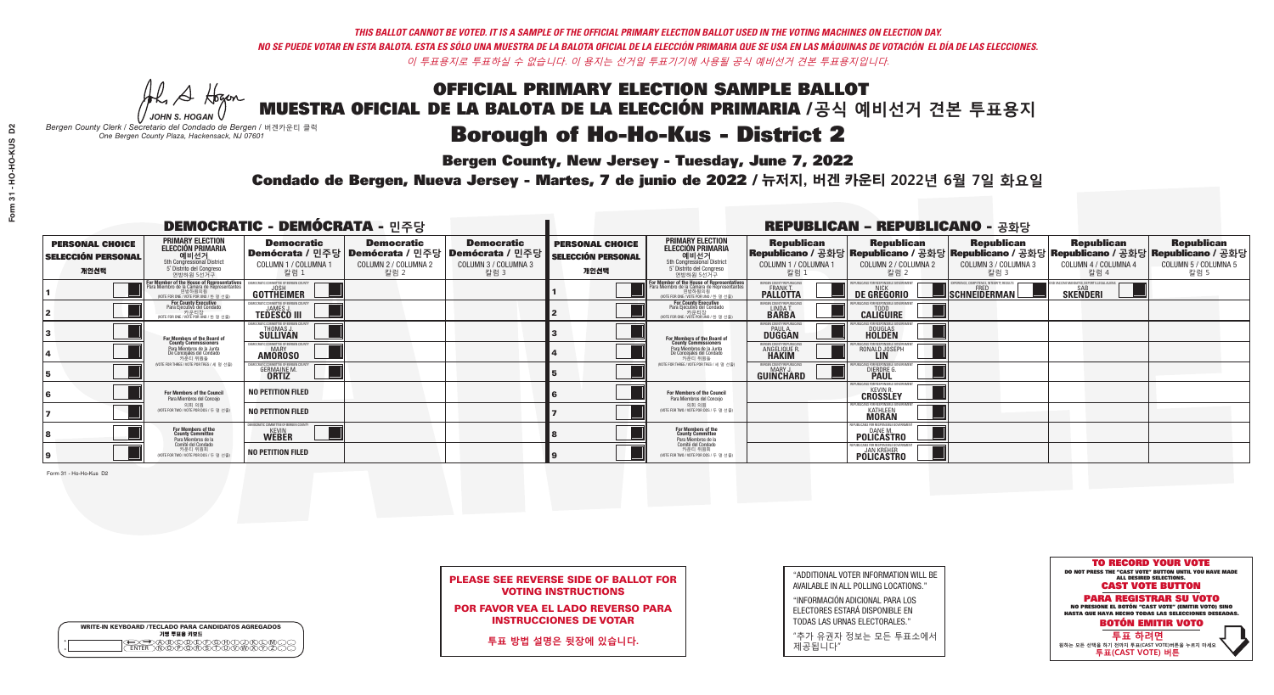A Hogen *JOHN S. HOGAN*

| <b>WRITE-IN KEYBOARD /TECLADO PARA CANDIDATOS AGREGADOS</b><br>기명 투표용 키보드 |  |
|---------------------------------------------------------------------------|--|
| VBCODEXCORD<br>ዄ <u>ፙ፝፟፟</u> ቓሧ፝ዾቔጜዿ <sub>ዸ</sub>                         |  |

## OFFICIAL PRIMARY ELECTION SAMPLE BALLOT MUESTRA OFICIAL DE LA BALOTA DE LA ELECCIÓN PRIMARIA /**공식 예비선거 견본 투표용지**

### **Borough of Ho-Ho-Kus - District 2**

**Bergen County, New Jersey - Tuesday, June 7, 2022** 

*Bergen County Clerk / Secretario del Condado de Bergen /* 버겐카운티 클럭 *One Bergen County Plaza, Hackensack, NJ 07601*

Condado de Bergen, Nueva Jersey - Martes, 7 de junio de 2022 / 뉴저지, 버겐 카운티 2022년 6월 7일 화요일 *One Bergen County Plaza, Hackensack, NJ 07601*



| <b>PLEASE SEE REVERSE SIDE OF BALLOT FOR</b> |  |
|----------------------------------------------|--|
| <b>VOTING INSTRUCTIONS</b>                   |  |

POR FAVOR VEA EL LADO REVERSO PARA INSTRUCCIONES DE VOTAR

**투표 방법 설명은 뒷장에 있습니다.**

"ADDITIONAL VOTER INFORMATION WILL BE AVAILABLE IN ALL POLLING LOCATIONS."

"INFORMACIÓN ADICIONAL PARA LOS ELECTORES ESTARÁ DISPONIBLE EN TODAS LAS URNAS ELECTORALES."

"추가 유권자 정보는 모든 투표소에서 제공됩니다"

Form 31 - Ho-Ho-Kus D2

| <b>DEMOCRATIC - DEMÓCRATA - 민주당</b>                         |                                                                                                                                                    |                                                                    |                                                   |                                                                                                        |                                                             |                                                                                                                                               |                                                            | <b>REPUBLICAN - REPUBLICANO - 공화당</b>                                                                                                          |                                                   |                                                                 |                                                   |
|-------------------------------------------------------------|----------------------------------------------------------------------------------------------------------------------------------------------------|--------------------------------------------------------------------|---------------------------------------------------|--------------------------------------------------------------------------------------------------------|-------------------------------------------------------------|-----------------------------------------------------------------------------------------------------------------------------------------------|------------------------------------------------------------|------------------------------------------------------------------------------------------------------------------------------------------------|---------------------------------------------------|-----------------------------------------------------------------|---------------------------------------------------|
| <b>PERSONAL CHOICE</b><br><b>SELECCIÓN PERSONAL</b><br>개인선택 | <b>PRIMARY ELECTION</b><br><b>ELECCIÓN PRIMARIA</b><br>예비선거<br>5th Congressional District<br>5° Distrito del Congreso<br>연방하원 5선거구                 | <b>Democratic</b><br>COLUMN 1 / COLUMNA 1<br>칼럼 :                  | <b>Democratic</b><br>COLUMN 2 / COLUMNA 2<br>칼럼 2 | <b>Democratic</b><br>│Demócrata / 민주당│Demócrata / 민주당│Demócrata / 민주당│<br>COLUMN 3 / COLUMNA 3<br>칼럼 3 | <b>PERSONAL CHOICE</b><br><b>SELECCIÓN PERSONAL</b><br>개인선택 | <b>PRIMARY ELECTION</b><br><b>ELECCIÓN PRIMARIA</b><br>.<br>예비선거<br>5th Congressional District<br>5° Distrito del Congreso<br>연방하원 5선거구       | <b>Republican</b><br>COLUMN 1 / COLUMNA 1<br>칼럼            | <b>Republican</b><br>Republicano / 공화당 Republicano / 공화당 Republicano / 공화당 Republicano / 공화당 Republicano / 공화당<br>COLUMN 2 / COLUMNA 2<br>칼럼 2 | <b>Republican</b><br>COLUMN 3 / COLUMNA 3<br>칼럼 3 | <b>Republican</b><br>COLUMN 4 / COLUMNA 4<br>칼럼 4               | <b>Republican</b><br>COLUMN 5 / COLUMNA 5<br>칼럼 5 |
|                                                             | <b>For Member of the House of Representatives</b><br>Para Miembro de la Cámara de Representantes<br>연방하원의원<br>(VOTE FOR ONE / VOTE POR UNO / 한명선출) | DEMOCRATIC COMMITTEE OF BERGEN COUNTY<br>JOSH<br><b>GOTTHEIMER</b> |                                                   |                                                                                                        |                                                             | For Member of the House of Representatives<br>Para Miembro de la Cámara de Representantes<br>연방하원의원<br>(VOTE FOR ONE / VOTE POR UNO / 한 명 선출) | BERGEN COUNTY REPUBLICANS<br>FRANK T.<br><b>PALLOTTA</b>   | DE GREGORIO                                                                                                                                    | SCHNEIDERMAN                                      | D VACCINE MANDATES, DEPORT ILLEGAL ALIENS. [<br><b>SKENDERI</b> |                                                   |
|                                                             | For County Executive<br>Para Ejecutivo del Condado<br>. 카운티장<br>(VOTE FOR ONE / VOTE POR UNO / 한 명 선출)                                             | )EMOCRATIC COMMITTEE OF BERGEN COUNT<br><b>TEDESCO III</b>         |                                                   |                                                                                                        |                                                             | For County Executive<br>Para Ejecutivo del Condado<br>가운티상<br>(VOTE FOR ONE / VOTE POR UNO / 한 명 선출)                                          | BERGEN COUNTY REPUBLICAN<br>LINDAT.                        | <b>CALIGUIRE</b>                                                                                                                               |                                                   |                                                                 |                                                   |
|                                                             | For Members of the Board of<br>County Commissioners                                                                                                | MOCRATIC COMMITTEE OF BERGEN COUNT<br><b>SULLIVAN</b>              |                                                   |                                                                                                        |                                                             | For Members of the Board of<br>County Commissioners                                                                                           | ERGEN COUNTY REPUBLICAN<br><b>PAUL A.</b><br><b>DUGGAN</b> | DOUGLAS<br>HOLDEN                                                                                                                              |                                                   |                                                                 |                                                   |
|                                                             | Para Miembros de la Junta<br>De Concejales del Condado<br>카운티 위원들                                                                                  | OCRATIC COMMITTEE OF BERGEN COUNTY<br><b>AMOROSO</b>               |                                                   |                                                                                                        |                                                             | Para Miembros de la Junta<br>De Concejales del Condado<br>카우티 위원들                                                                             | ERGEN COUNTY REPUBLICAN<br>ANGELIQUE R                     | RONALD JOSEPH                                                                                                                                  |                                                   |                                                                 |                                                   |
|                                                             | NOTE FOR THREE / VOTE POR TRES / 세 명 선출)                                                                                                           | <b>RATIC COMMITTEE OF BERGEN COUN</b><br><b>GERMAINE M.</b>        |                                                   |                                                                                                        |                                                             | NOTE FOR THREE / VOTE POR TRES / 세 명 선출                                                                                                       | ERGEN COUNTY REPUBLICANS<br>MARY J.<br>GUINCHARD           | <b>DIERDRE</b> Q                                                                                                                               |                                                   |                                                                 |                                                   |
|                                                             | For Members of the Council<br>Para Miembros del Concejo                                                                                            | <b>NO PETITION FILED</b>                                           |                                                   |                                                                                                        |                                                             | For Members of the Council<br>Para Miembros del Conceio                                                                                       |                                                            | UBLICANS FOR RESPONSIBLE GOV<br><b>CROSSLEY</b>                                                                                                |                                                   |                                                                 |                                                   |
|                                                             | 의회 의원<br>(VOTE FOR TWO / VOTE POR DOS / 두 명 선출                                                                                                     | <b>NO PETITION FILED</b>                                           |                                                   |                                                                                                        |                                                             | 의회 의원<br>(VOTE FOR TWO / VOTE POR DOS / 두 명 선출)                                                                                               |                                                            | PUBLICANS FOR RESPONSIBLE GOVERNMEN<br><b>KATHLEEN</b>                                                                                         |                                                   |                                                                 |                                                   |
|                                                             | For Members of the<br>County Committee<br>Para Miembros de la                                                                                      | <b><i>MOCRATIC COMMITTEE OF BERGEN COUNTY</i></b><br><b>WEBER</b>  |                                                   |                                                                                                        |                                                             | For Members of the<br>County Committee<br>Para Miembros de la<br>Comité del Condado                                                           |                                                            | FPUBLICANS FOR RESPONSIBLE GO<br><b>POLICASTRO</b>                                                                                             |                                                   |                                                                 |                                                   |
|                                                             | Comité del Condado<br>카운티 위원회<br>(VOTE FOR TWO / VOTE POR DOS / 두 명 선출)                                                                            | <b>NO PETITION FILED</b>                                           |                                                   |                                                                                                        |                                                             | 카운티 위원회<br>WOTE FOR TWO / VOTE POR DOS / 두 명 선출)                                                                                              |                                                            | PURLICANS FOR RESPONSIRLE GOVERNMEN<br><b>POLICASTRO</b>                                                                                       |                                                   |                                                                 |                                                   |